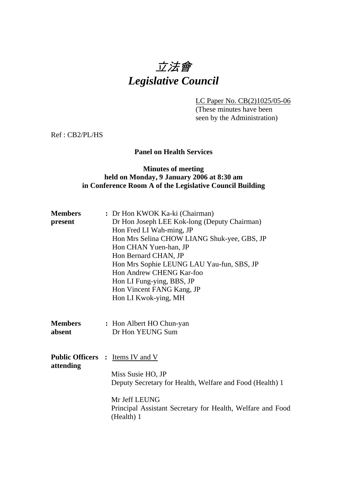# 立法會 *Legislative Council*

LC Paper No. CB(2)1025/05-06

 (These minutes have been seen by the Administration)

Ref : CB2/PL/HS

## **Panel on Health Services**

#### **Minutes of meeting held on Monday, 9 January 2006 at 8:30 am in Conference Room A of the Legislative Council Building**

| <b>Members</b> | : Dr Hon KWOK Ka-ki (Chairman)                                           |
|----------------|--------------------------------------------------------------------------|
| present        | Dr Hon Joseph LEE Kok-long (Deputy Chairman)                             |
|                | Hon Fred LI Wah-ming, JP                                                 |
|                | Hon Mrs Selina CHOW LIANG Shuk-yee, GBS, JP                              |
|                | Hon CHAN Yuen-han, JP                                                    |
|                | Hon Bernard CHAN, JP                                                     |
|                | Hon Mrs Sophie LEUNG LAU Yau-fun, SBS, JP                                |
|                | Hon Andrew CHENG Kar-foo                                                 |
|                | Hon LI Fung-ying, BBS, JP                                                |
|                | Hon Vincent FANG Kang, JP                                                |
|                | Hon LI Kwok-ying, MH                                                     |
|                |                                                                          |
| <b>Members</b> | : Hon Albert HO Chun-yan                                                 |
| absent         | Dr Hon YEUNG Sum                                                         |
|                |                                                                          |
|                |                                                                          |
|                | <b>Public Officers</b> : Items IV and V                                  |
| attending      | Miss Susie HO, JP                                                        |
|                |                                                                          |
|                | Deputy Secretary for Health, Welfare and Food (Health) 1                 |
|                | Mr Jeff LEUNG                                                            |
|                | Principal Assistant Secretary for Health, Welfare and Food<br>(Health) 1 |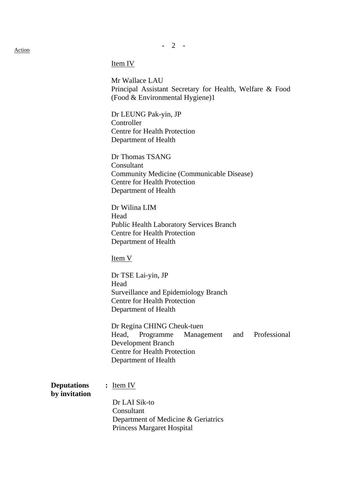**-** 2 - Action

Mr Wallace LAU Principal Assistant Secretary for Health, Welfare & Food (Food & Environmental Hygiene)1

Dr LEUNG Pak-yin, JP Controller Centre for Health Protection Department of Health

Dr Thomas TSANG Consultant Community Medicine (Communicable Disease) Centre for Health Protection Department of Health

Dr Wilina LIM Head Public Health Laboratory Services Branch Centre for Health Protection Department of Health

Item V

Dr TSE Lai-yin, JP Head Surveillance and Epidemiology Branch Centre for Health Protection Department of Health

Dr Regina CHING Cheuk-tuen Head, Programme Management and Professional Development Branch Centre for Health Protection Department of Health

**Deputations** : Item IV **by invitation**  Dr LAI Sik-to Consultant Department of Medicine & Geriatrics Princess Margaret Hospital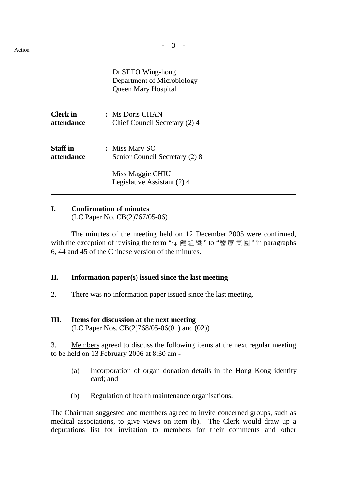**-** 3 - Action

Dr SETO Wing-hong Department of Microbiology Queen Mary Hospital

| <b>Clerk</b> in | : Ms Doris CHAN                                 |
|-----------------|-------------------------------------------------|
| attendance      | Chief Council Secretary (2) 4                   |
| <b>Staff</b> in | : Miss Mary SO                                  |
| attendance      | Senior Council Secretary (2) 8                  |
|                 | Miss Maggie CHIU<br>Legislative Assistant (2) 4 |

#### **I. Confirmation of minutes**

(LC Paper No. CB(2)767/05-06)

 The minutes of the meeting held on 12 December 2005 were confirmed, with the exception of revising the term "保健組織" to "醫療集團" in paragraphs 6, 44 and 45 of the Chinese version of the minutes.

#### **II. Information paper(s) issued since the last meeting**

2. There was no information paper issued since the last meeting.

#### **III. Items for discussion at the next meeting**

(LC Paper Nos. CB(2)768/05-06(01) and (02))

3. Members agreed to discuss the following items at the next regular meeting to be held on 13 February 2006 at 8:30 am -

- (a) Incorporation of organ donation details in the Hong Kong identity card; and
- (b) Regulation of health maintenance organisations.

The Chairman suggested and members agreed to invite concerned groups, such as medical associations, to give views on item (b). The Clerk would draw up a deputations list for invitation to members for their comments and other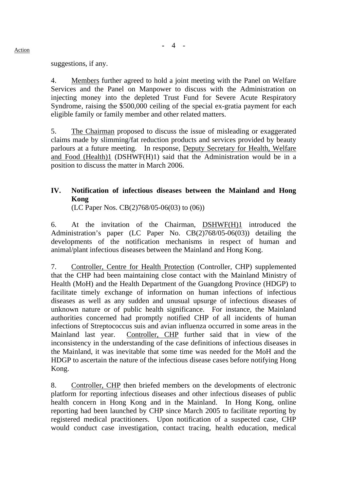suggestions, if any.

4. Members further agreed to hold a joint meeting with the Panel on Welfare Services and the Panel on Manpower to discuss with the Administration on injecting money into the depleted Trust Fund for Severe Acute Respiratory Syndrome, raising the \$500,000 ceiling of the special ex-gratia payment for each eligible family or family member and other related matters.

5. The Chairman proposed to discuss the issue of misleading or exaggerated claims made by slimming/fat reduction products and services provided by beauty parlours at a future meeting. In response, Deputy Secretary for Health, Welfare and Food (Health)1 (DSHWF(H)1) said that the Administration would be in a position to discuss the matter in March 2006.

# **IV. Notification of infectious diseases between the Mainland and Hong Kong**

(LC Paper Nos. CB(2)768/05-06(03) to (06))

6. At the invitation of the Chairman, DSHWF(H)1 introduced the Administration's paper (LC Paper No. CB(2)768/05-06(03)) detailing the developments of the notification mechanisms in respect of human and animal/plant infectious diseases between the Mainland and Hong Kong.

7. Controller, Centre for Health Protection (Controller, CHP) supplemented that the CHP had been maintaining close contact with the Mainland Ministry of Health (MoH) and the Health Department of the Guangdong Province (HDGP) to facilitate timely exchange of information on human infections of infectious diseases as well as any sudden and unusual upsurge of infectious diseases of unknown nature or of public health significance. For instance, the Mainland authorities concerned had promptly notified CHP of all incidents of human infections of Streptococcus suis and avian influenza occurred in some areas in the Mainland last year. Controller, CHP further said that in view of the inconsistency in the understanding of the case definitions of infectious diseases in the Mainland, it was inevitable that some time was needed for the MoH and the HDGP to ascertain the nature of the infectious disease cases before notifying Hong Kong.

8. Controller, CHP then briefed members on the developments of electronic platform for reporting infectious diseases and other infectious diseases of public health concern in Hong Kong and in the Mainland. In Hong Kong, online reporting had been launched by CHP since March 2005 to facilitate reporting by registered medical practitioners. Upon notification of a suspected case, CHP would conduct case investigation, contact tracing, health education, medical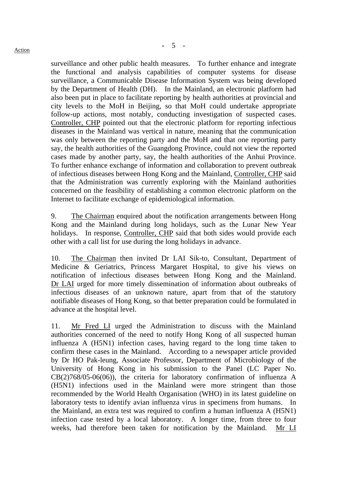surveillance and other public health measures. To further enhance and integrate the functional and analysis capabilities of computer systems for disease surveillance, a Communicable Disease Information System was being developed by the Department of Health (DH). In the Mainland, an electronic platform had also been put in place to facilitate reporting by health authorities at provincial and city levels to the MoH in Beijing, so that MoH could undertake appropriate follow-up actions, most notably, conducting investigation of suspected cases. Controller, CHP pointed out that the electronic platform for reporting infectious diseases in the Mainland was vertical in nature, meaning that the communication was only between the reporting party and the MoH and that one reporting party say, the health authorities of the Guangdong Province, could not view the reported cases made by another party, say, the health authorities of the Anhui Province. To further enhance exchange of information and collaboration to prevent outbreak of infectious diseases between Hong Kong and the Mainland, Controller, CHP said that the Administration was currently exploring with the Mainland authorities concerned on the feasibility of establishing a common electronic platform on the Internet to facilitate exchange of epidemiological information.

9. The Chairman enquired about the notification arrangements between Hong Kong and the Mainland during long holidays, such as the Lunar New Year holidays. In response, Controller, CHP said that both sides would provide each other with a call list for use during the long holidays in advance.

10. The Chairman then invited Dr LAI Sik-to, Consultant, Department of Medicine & Geriatrics, Princess Margaret Hospital, to give his views on notification of infectious diseases between Hong Kong and the Mainland. Dr LAI urged for more timely dissemination of information about outbreaks of infectious diseases of an unknown nature, apart from that of the statutory notifiable diseases of Hong Kong, so that better preparation could be formulated in advance at the hospital level.

11. Mr Fred LI urged the Administration to discuss with the Mainland authorities concerned of the need to notify Hong Kong of all suspected human influenza A (H5N1) infection cases, having regard to the long time taken to confirm these cases in the Mainland. According to a newspaper article provided by Dr HO Pak-leung, Associate Professor, Department of Microbiology of the University of Hong Kong in his submission to the Panel (LC Paper No. CB(2)768/05-06(06)), the criteria for laboratory confirmation of influenza A (H5N1) infections used in the Mainland were more stringent than those recommended by the World Health Organisation (WHO) in its latest guideline on laboratory tests to identify avian influenza virus in specimens from humans. In the Mainland, an extra test was required to confirm a human influenza A (H5N1) infection case tested by a local laboratory. A longer time, from three to four weeks, had therefore been taken for notification by the Mainland. Mr LI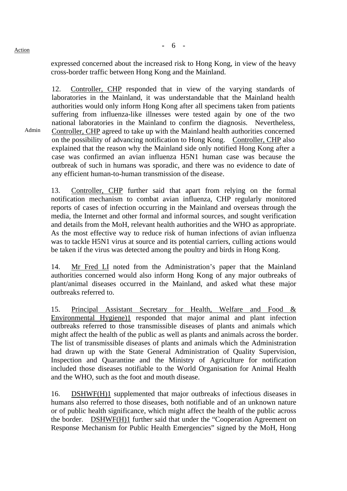Admin

expressed concerned about the increased risk to Hong Kong, in view of the heavy cross-border traffic between Hong Kong and the Mainland.

12. Controller, CHP responded that in view of the varying standards of laboratories in the Mainland, it was understandable that the Mainland health authorities would only inform Hong Kong after all specimens taken from patients suffering from influenza-like illnesses were tested again by one of the two national laboratories in the Mainland to confirm the diagnosis. Nevertheless, Controller, CHP agreed to take up with the Mainland health authorities concerned on the possibility of advancing notification to Hong Kong. Controller, CHP also explained that the reason why the Mainland side only notified Hong Kong after a case was confirmed an avian influenza H5N1 human case was because the outbreak of such in humans was sporadic, and there was no evidence to date of any efficient human-to-human transmission of the disease.

13. Controller, CHP further said that apart from relying on the formal notification mechanism to combat avian influenza, CHP regularly monitored reports of cases of infection occurring in the Mainland and overseas through the media, the Internet and other formal and informal sources, and sought verification and details from the MoH, relevant health authorities and the WHO as appropriate. As the most effective way to reduce risk of human infections of avian influenza was to tackle H5N1 virus at source and its potential carriers, culling actions would be taken if the virus was detected among the poultry and birds in Hong Kong.

14. Mr Fred LI noted from the Administration's paper that the Mainland authorities concerned would also inform Hong Kong of any major outbreaks of plant/animal diseases occurred in the Mainland, and asked what these major outbreaks referred to.

15. Principal Assistant Secretary for Health, Welfare and Food & Environmental Hygiene)1 responded that major animal and plant infection outbreaks referred to those transmissible diseases of plants and animals which might affect the health of the public as well as plants and animals across the border. The list of transmissible diseases of plants and animals which the Administration had drawn up with the State General Administration of Quality Supervision, Inspection and Quarantine and the Ministry of Agriculture for notification included those diseases notifiable to the World Organisation for Animal Health and the WHO, such as the foot and mouth disease.

16. DSHWF(H)1 supplemented that major outbreaks of infectious diseases in humans also referred to those diseases, both notifiable and of an unknown nature or of public health significance, which might affect the health of the public across the border. DSHWF(H)1 further said that under the "Cooperation Agreement on Response Mechanism for Public Health Emergencies" signed by the MoH, Hong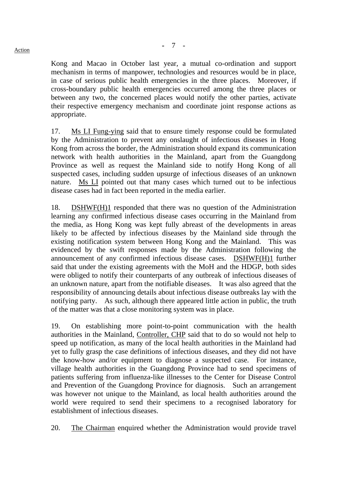Kong and Macao in October last year, a mutual co-ordination and support mechanism in terms of manpower, technologies and resources would be in place, in case of serious public health emergencies in the three places. Moreover, if cross-boundary public health emergencies occurred among the three places or between any two, the concerned places would notify the other parties, activate their respective emergency mechanism and coordinate joint response actions as appropriate.

17. Ms LI Fung-ying said that to ensure timely response could be formulated by the Administration to prevent any onslaught of infectious diseases in Hong Kong from across the border, the Administration should expand its communication network with health authorities in the Mainland, apart from the Guangdong Province as well as request the Mainland side to notify Hong Kong of all suspected cases, including sudden upsurge of infectious diseases of an unknown nature. Ms LI pointed out that many cases which turned out to be infectious disease cases had in fact been reported in the media earlier.

18. DSHWF(H)1 responded that there was no question of the Administration learning any confirmed infectious disease cases occurring in the Mainland from the media, as Hong Kong was kept fully abreast of the developments in areas likely to be affected by infectious diseases by the Mainland side through the existing notification system between Hong Kong and the Mainland. This was evidenced by the swift responses made by the Administration following the announcement of any confirmed infectious disease cases. DSHWF(H)1 further said that under the existing agreements with the MoH and the HDGP, both sides were obliged to notify their counterparts of any outbreak of infectious diseases of an unknown nature, apart from the notifiable diseases. It was also agreed that the responsibility of announcing details about infectious disease outbreaks lay with the notifying party. As such, although there appeared little action in public, the truth of the matter was that a close monitoring system was in place.

19. On establishing more point-to-point communication with the health authorities in the Mainland, Controller, CHP said that to do so would not help to speed up notification, as many of the local health authorities in the Mainland had yet to fully grasp the case definitions of infectious diseases, and they did not have the know-how and/or equipment to diagnose a suspected case. For instance, village health authorities in the Guangdong Province had to send specimens of patients suffering from influenza-like illnesses to the Center for Disease Control and Prevention of the Guangdong Province for diagnosis. Such an arrangement was however not unique to the Mainland, as local health authorities around the world were required to send their specimens to a recognised laboratory for establishment of infectious diseases.

20. The Chairman enquired whether the Administration would provide travel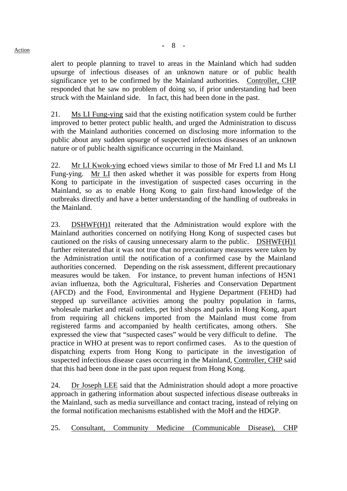alert to people planning to travel to areas in the Mainland which had sudden upsurge of infectious diseases of an unknown nature or of public health significance yet to be confirmed by the Mainland authorities. Controller, CHP responded that he saw no problem of doing so, if prior understanding had been struck with the Mainland side. In fact, this had been done in the past.

21. Ms LI Fung-ying said that the existing notification system could be further improved to better protect public health, and urged the Administration to discuss with the Mainland authorities concerned on disclosing more information to the public about any sudden upsurge of suspected infectious diseases of an unknown nature or of public health significance occurring in the Mainland.

22. Mr LI Kwok-ying echoed views similar to those of Mr Fred LI and Ms LI Fung-ying. Mr LI then asked whether it was possible for experts from Hong Kong to participate in the investigation of suspected cases occurring in the Mainland, so as to enable Hong Kong to gain first-hand knowledge of the outbreaks directly and have a better understanding of the handling of outbreaks in the Mainland.

23. DSHWF(H)1 reiterated that the Administration would explore with the Mainland authorities concerned on notifying Hong Kong of suspected cases but cautioned on the risks of causing unnecessary alarm to the public. DSHWF(H)1 further reiterated that it was not true that no precautionary measures were taken by the Administration until the notification of a confirmed case by the Mainland authorities concerned. Depending on the risk assessment, different precautionary measures would be taken. For instance, to prevent human infections of H5N1 avian influenza, both the Agricultural, Fisheries and Conservation Department (AFCD) and the Food, Environmental and Hygiene Department (FEHD) had stepped up surveillance activities among the poultry population in farms, wholesale market and retail outlets, pet bird shops and parks in Hong Kong, apart from requiring all chickens imported from the Mainland must come from registered farms and accompanied by health certificates, among others. She expressed the view that "suspected cases" would be very difficult to define. The practice in WHO at present was to report confirmed cases. As to the question of dispatching experts from Hong Kong to participate in the investigation of suspected infectious disease cases occurring in the Mainland, Controller, CHP said that this had been done in the past upon request from Hong Kong.

24. Dr Joseph LEE said that the Administration should adopt a more proactive approach in gathering information about suspected infectious disease outbreaks in the Mainland, such as media surveillance and contact tracing, instead of relying on the formal notification mechanisms established with the MoH and the HDGP.

25. Consultant, Community Medicine (Communicable Disease), CHP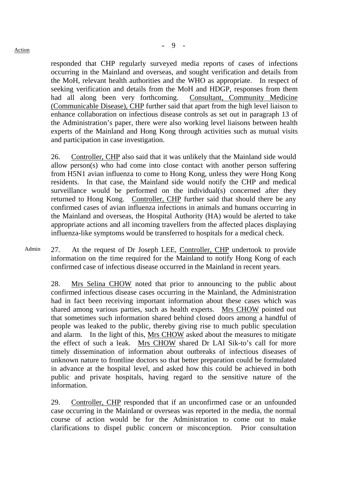responded that CHP regularly surveyed media reports of cases of infections occurring in the Mainland and overseas, and sought verification and details from the MoH, relevant health authorities and the WHO as appropriate. In respect of seeking verification and details from the MoH and HDGP, responses from them had all along been very forthcoming. Consultant, Community Medicine (Communicable Disease), CHP further said that apart from the high level liaison to enhance collaboration on infectious disease controls as set out in paragraph 13 of the Administration's paper, there were also working level liaisons between health experts of the Mainland and Hong Kong through activities such as mutual visits and participation in case investigation.

26. Controller, CHP also said that it was unlikely that the Mainland side would allow person(s) who had come into close contact with another person suffering from H5N1 avian influenza to come to Hong Kong, unless they were Hong Kong residents. In that case, the Mainland side would notify the CHP and medical surveillance would be performed on the individual(s) concerned after they returned to Hong Kong. Controller, CHP further said that should there be any confirmed cases of avian influenza infections in animals and humans occurring in the Mainland and overseas, the Hospital Authority (HA) would be alerted to take appropriate actions and all incoming travellers from the affected places displaying influenza-like symptoms would be transferred to hospitals for a medical check.

Admin 27. At the request of Dr Joseph LEE, Controller, CHP undertook to provide information on the time required for the Mainland to notify Hong Kong of each confirmed case of infectious disease occurred in the Mainland in recent years.

28. Mrs Selina CHOW noted that prior to announcing to the public about confirmed infectious disease cases occurring in the Mainland, the Administration had in fact been receiving important information about these cases which was shared among various parties, such as health experts. Mrs CHOW pointed out that sometimes such information shared behind closed doors among a handful of people was leaked to the public, thereby giving rise to much public speculation and alarm. In the light of this, Mrs CHOW asked about the measures to mitigate the effect of such a leak. Mrs CHOW shared Dr LAI Sik-to's call for more timely dissemination of information about outbreaks of infectious diseases of unknown nature to frontline doctors so that better preparation could be formulated in advance at the hospital level, and asked how this could be achieved in both public and private hospitals, having regard to the sensitive nature of the information.

29. Controller, CHP responded that if an unconfirmed case or an unfounded case occurring in the Mainland or overseas was reported in the media, the normal course of action would be for the Administration to come out to make clarifications to dispel public concern or misconception. Prior consultation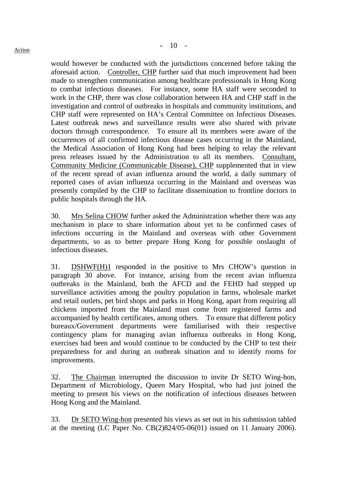would however be conducted with the jurisdictions concerned before taking the aforesaid action. Controller, CHP further said that much improvement had been made to strengthen communication among healthcare professionals in Hong Kong to combat infectious diseases. For instance, some HA staff were seconded to work in the CHP, there was close collaboration between HA and CHP staff in the investigation and control of outbreaks in hospitals and community institutions, and CHP staff were represented on HA's Central Committee on Infectious Diseases. Latest outbreak news and surveillance results were also shared with private doctors through correspondence. To ensure all its members were aware of the occurrences of all confirmed infectious disease cases occurring in the Mainland, the Medical Association of Hong Kong had been helping to relay the relevant press releases issued by the Administration to all its members. Consultant, Community Medicine (Communicable Disease), CHP supplemented that in view of the recent spread of avian influenza around the world, a daily summary of reported cases of avian influenza occurring in the Mainland and overseas was presently compiled by the CHP to facilitate dissemination to frontline doctors in public hospitals through the HA.

30. Mrs Selina CHOW further asked the Administration whether there was any mechanism in place to share information about yet to be confirmed cases of infections occurring in the Mainland and overseas with other Government departments, so as to better prepare Hong Kong for possible onslaught of infectious diseases.

31. DSHWF(H)1 responded in the positive to Mrs CHOW's question in paragraph 30 above. For instance, arising from the recent avian influenza outbreaks in the Mainland, both the AFCD and the FEHD had stepped up surveillance activities among the poultry population in farms, wholesale market and retail outlets, pet bird shops and parks in Hong Kong, apart from requiring all chickens imported from the Mainland must come from registered farms and accompanied by health certificates, among others. To ensure that different policy bureaux/Government departments were familiarised with their respective contingency plans for managing avian influenza outbreaks in Hong Kong, exercises had been and would continue to be conducted by the CHP to test their preparedness for and during an outbreak situation and to identify rooms for improvements.

32. The Chairman interrupted the discussion to invite Dr SETO Wing-hon, Department of Microbiology, Queen Mary Hospital, who had just joined the meeting to present his views on the notification of infectious diseases between Hong Kong and the Mainland.

33. Dr SETO Wing-hon presented his views as set out in his submission tabled at the meeting (LC Paper No. CB(2)824/05-06(01) issued on 11 January 2006).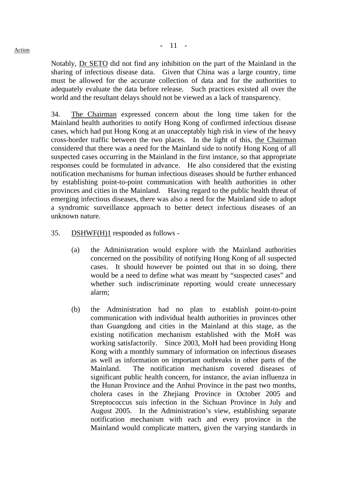Notably, Dr SETO did not find any inhibition on the part of the Mainland in the sharing of infectious disease data. Given that China was a large country, time must be allowed for the accurate collection of data and for the authorities to adequately evaluate the data before release. Such practices existed all over the world and the resultant delays should not be viewed as a lack of transparency.

34. The Chairman expressed concern about the long time taken for the Mainland health authorities to notify Hong Kong of confirmed infectious disease cases, which had put Hong Kong at an unacceptably high risk in view of the heavy cross-border traffic between the two places. In the light of this, the Chairman considered that there was a need for the Mainland side to notify Hong Kong of all suspected cases occurring in the Mainland in the first instance, so that appropriate responses could be formulated in advance. He also considered that the existing notification mechanisms for human infectious diseases should be further enhanced by establishing point-to-point communication with health authorities in other provinces and cities in the Mainland. Having regard to the public health threat of emerging infectious diseases, there was also a need for the Mainland side to adopt a syndromic surveillance approach to better detect infectious diseases of an unknown nature.

#### 35. DSHWF(H)1 responded as follows -

- (a) the Administration would explore with the Mainland authorities concerned on the possibility of notifying Hong Kong of all suspected cases. It should however be pointed out that in so doing, there would be a need to define what was meant by "suspected cases" and whether such indiscriminate reporting would create unnecessary alarm;
- (b) the Administration had no plan to establish point-to-point communication with individual health authorities in provinces other than Guangdong and cities in the Mainland at this stage, as the existing notification mechanism established with the MoH was working satisfactorily. Since 2003, MoH had been providing Hong Kong with a monthly summary of information on infectious diseases as well as information on important outbreaks in other parts of the Mainland. The notification mechanism covered diseases of significant public health concern, for instance, the avian influenza in the Hunan Province and the Anhui Province in the past two months, cholera cases in the Zhejiang Province in October 2005 and Streptococcus suis infection in the Sichuan Province in July and August 2005. In the Administration's view, establishing separate notification mechanism with each and every province in the Mainland would complicate matters, given the varying standards in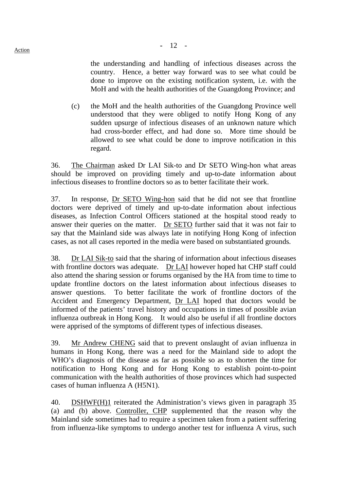the understanding and handling of infectious diseases across the country. Hence, a better way forward was to see what could be done to improve on the existing notification system, i.e. with the MoH and with the health authorities of the Guangdong Province; and

 (c) the MoH and the health authorities of the Guangdong Province well understood that they were obliged to notify Hong Kong of any sudden upsurge of infectious diseases of an unknown nature which had cross-border effect, and had done so. More time should be allowed to see what could be done to improve notification in this regard.

36. The Chairman asked Dr LAI Sik-to and Dr SETO Wing-hon what areas should be improved on providing timely and up-to-date information about infectious diseases to frontline doctors so as to better facilitate their work.

37. In response, Dr SETO Wing-hon said that he did not see that frontline doctors were deprived of timely and up-to-date information about infectious diseases, as Infection Control Officers stationed at the hospital stood ready to answer their queries on the matter. Dr SETO further said that it was not fair to say that the Mainland side was always late in notifying Hong Kong of infection cases, as not all cases reported in the media were based on substantiated grounds.

38. Dr LAI Sik-to said that the sharing of information about infectious diseases with frontline doctors was adequate. Dr LAI however hoped hat CHP staff could also attend the sharing session or forums organised by the HA from time to time to update frontline doctors on the latest information about infectious diseases to answer questions. To better facilitate the work of frontline doctors of the Accident and Emergency Department, Dr LAI hoped that doctors would be informed of the patients' travel history and occupations in times of possible avian influenza outbreak in Hong Kong. It would also be useful if all frontline doctors were apprised of the symptoms of different types of infectious diseases.

39. Mr Andrew CHENG said that to prevent onslaught of avian influenza in humans in Hong Kong, there was a need for the Mainland side to adopt the WHO's diagnosis of the disease as far as possible so as to shorten the time for notification to Hong Kong and for Hong Kong to establish point-to-point communication with the health authorities of those provinces which had suspected cases of human influenza A (H5N1).

40. DSHWF(H)1 reiterated the Administration's views given in paragraph 35 (a) and (b) above. Controller, CHP supplemented that the reason why the Mainland side sometimes had to require a specimen taken from a patient suffering from influenza-like symptoms to undergo another test for influenza A virus, such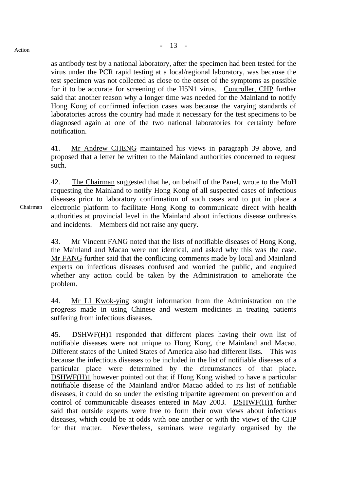as antibody test by a national laboratory, after the specimen had been tested for the virus under the PCR rapid testing at a local/regional laboratory, was because the test specimen was not collected as close to the onset of the symptoms as possible for it to be accurate for screening of the H5N1 virus. Controller, CHP further said that another reason why a longer time was needed for the Mainland to notify Hong Kong of confirmed infection cases was because the varying standards of laboratories across the country had made it necessary for the test specimens to be diagnosed again at one of the two national laboratories for certainty before notification.

41. Mr Andrew CHENG maintained his views in paragraph 39 above, and proposed that a letter be written to the Mainland authorities concerned to request such.

42. The Chairman suggested that he, on behalf of the Panel, wrote to the MoH requesting the Mainland to notify Hong Kong of all suspected cases of infectious diseases prior to laboratory confirmation of such cases and to put in place a electronic platform to facilitate Hong Kong to communicate direct with health authorities at provincial level in the Mainland about infectious disease outbreaks and incidents. Members did not raise any query.

43. Mr Vincent FANG noted that the lists of notifiable diseases of Hong Kong, the Mainland and Macao were not identical, and asked why this was the case. Mr FANG further said that the conflicting comments made by local and Mainland experts on infectious diseases confused and worried the public, and enquired whether any action could be taken by the Administration to ameliorate the problem.

44. Mr LI Kwok-ying sought information from the Administration on the progress made in using Chinese and western medicines in treating patients suffering from infectious diseases.

45. DSHWF(H)1 responded that different places having their own list of notifiable diseases were not unique to Hong Kong, the Mainland and Macao. Different states of the United States of America also had different lists. This was because the infectious diseases to be included in the list of notifiable diseases of a particular place were determined by the circumstances of that place. DSHWF(H)1 however pointed out that if Hong Kong wished to have a particular notifiable disease of the Mainland and/or Macao added to its list of notifiable diseases, it could do so under the existing tripartite agreement on prevention and control of communicable diseases entered in May 2003. DSHWF(H)1 further said that outside experts were free to form their own views about infectious diseases, which could be at odds with one another or with the views of the CHP for that matter. Nevertheless, seminars were regularly organised by the

Chairman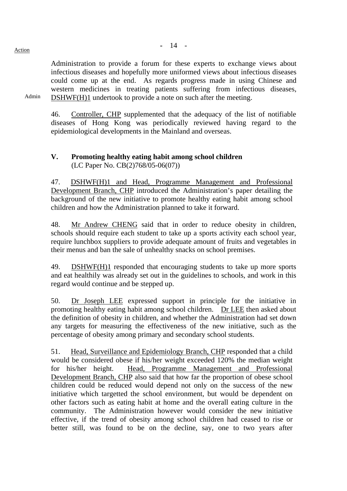Administration to provide a forum for these experts to exchange views about infectious diseases and hopefully more uniformed views about infectious diseases could come up at the end. As regards progress made in using Chinese and western medicines in treating patients suffering from infectious diseases, DSHWF(H)1 undertook to provide a note on such after the meeting.

46. Controller, CHP supplemented that the adequacy of the list of notifiable diseases of Hong Kong was periodically reviewed having regard to the epidemiological developments in the Mainland and overseas.

### **V. Promoting healthy eating habit among school children**  (LC Paper No. CB(2)768/05-06(07))

47. DSHWF(H)1 and Head, Programme Management and Professional Development Branch, CHP introduced the Administration's paper detailing the background of the new initiative to promote healthy eating habit among school children and how the Administration planned to take it forward.

48. Mr Andrew CHENG said that in order to reduce obesity in children, schools should require each student to take up a sports activity each school year, require lunchbox suppliers to provide adequate amount of fruits and vegetables in their menus and ban the sale of unhealthy snacks on school premises.

49. DSHWF(H)1 responded that encouraging students to take up more sports and eat healthily was already set out in the guidelines to schools, and work in this regard would continue and be stepped up.

50. Dr Joseph LEE expressed support in principle for the initiative in promoting healthy eating habit among school children. Dr LEE then asked about the definition of obesity in children, and whether the Administration had set down any targets for measuring the effectiveness of the new initiative, such as the percentage of obesity among primary and secondary school students.

51. Head, Surveillance and Epidemiology Branch, CHP responded that a child would be considered obese if his/her weight exceeded 120% the median weight for his/her height. Head, Programme Management and Professional Development Branch, CHP also said that how far the proportion of obese school children could be reduced would depend not only on the success of the new initiative which targetted the school environment, but would be dependent on other factors such as eating habit at home and the overall eating culture in the community. The Administration however would consider the new initiative effective, if the trend of obesity among school children had ceased to rise or better still, was found to be on the decline, say, one to two years after

Admin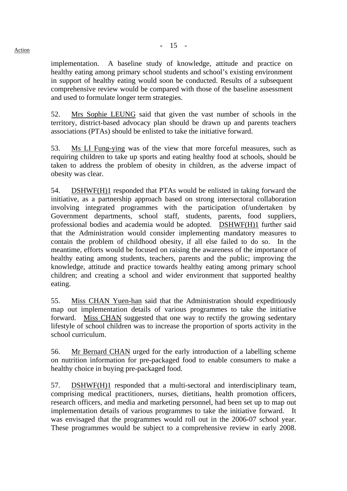implementation. A baseline study of knowledge, attitude and practice on healthy eating among primary school students and school's existing environment in support of healthy eating would soon be conducted. Results of a subsequent comprehensive review would be compared with those of the baseline assessment and used to formulate longer term strategies.

52. Mrs Sophie LEUNG said that given the vast number of schools in the territory, district-based advocacy plan should be drawn up and parents teachers associations (PTAs) should be enlisted to take the initiative forward.

53. Ms LI Fung-ying was of the view that more forceful measures, such as requiring children to take up sports and eating healthy food at schools, should be taken to address the problem of obesity in children, as the adverse impact of obesity was clear.

54. DSHWF(H)1 responded that PTAs would be enlisted in taking forward the initiative, as a partnership approach based on strong intersectoral collaboration involving integrated programmes with the participation of/undertaken by Government departments, school staff, students, parents, food suppliers, professional bodies and academia would be adopted. DSHWF(H)1 further said that the Administration would consider implementing mandatory measures to contain the problem of childhood obesity, if all else failed to do so. In the meantime, efforts would be focused on raising the awareness of the importance of healthy eating among students, teachers, parents and the public; improving the knowledge, attitude and practice towards healthy eating among primary school children; and creating a school and wider environment that supported healthy eating.

55. Miss CHAN Yuen-han said that the Administration should expeditiously map out implementation details of various programmes to take the initiative forward. Miss CHAN suggested that one way to rectify the growing sedentary lifestyle of school children was to increase the proportion of sports activity in the school curriculum.

56. Mr Bernard CHAN urged for the early introduction of a labelling scheme on nutrition information for pre-packaged food to enable consumers to make a healthy choice in buying pre-packaged food.

57. DSHWF(H)1 responded that a multi-sectoral and interdisciplinary team, comprising medical practitioners, nurses, dietitians, health promotion officers, research officers, and media and marketing personnel, had been set up to map out implementation details of various programmes to take the initiative forward. It was envisaged that the programmes would roll out in the 2006-07 school year. These programmes would be subject to a comprehensive review in early 2008.